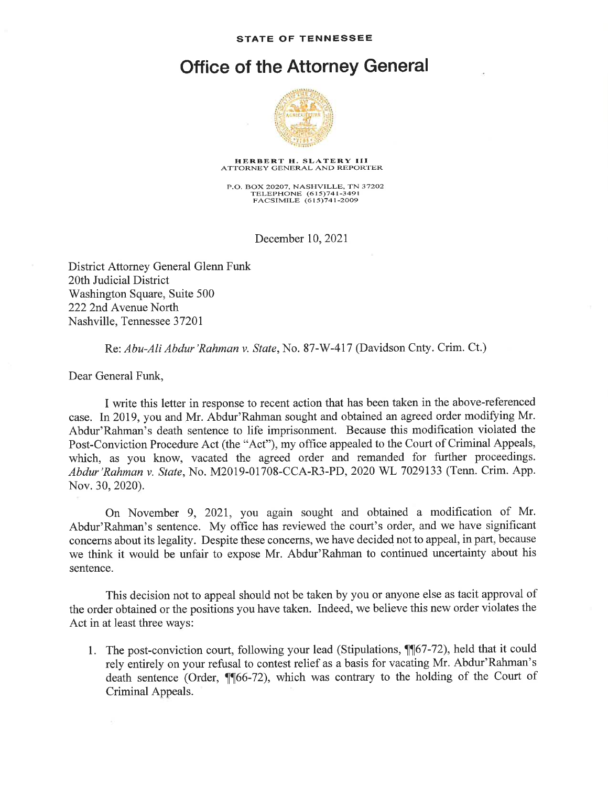## Office of the Attorney General



## HERBERT H. SLATERY III ATTORNEY GENERAL AND REPORTER

P.O. BOX 20207, NASHVILLE, TN 37202 TELEPHONE (615)741-3491<br>FACSIMILE (615)741-2009

December 10,2021

District Attorney General Glenn Funk 20th Judicial District Washington Square, Suite 500 2222nd Avenue North Nashville, Tennessee 3720I

## R:e: Abu-Ali Abdur'Rahman v. State,No. 87-W-417 (Davidson Cnty. Crim. Ct.)

Dear General Funk,

I write this letter in response to recent action that has been taken in the above-referenced case. In 2019, you and Mr. Abdur'Rahman sought and obtained an agreed order modifying Mr. Abdur'Rahman's death sentence to life imprisonment. Because this modification violated the Post-Conviction Procedure Act (the "Act"), my office appealed to the Court of Criminal Appeals, which, as you know, vacated the agreed order and remanded for further proceedings. Abdur 'Rahman v. State, No. M2019-01708-CCA-R3-PD, 2020 WL 7029133 (Tenn. Crim. App. Nov.30,2020).

On November 9, 2021, you again sought and obtained a modification of Mr. Abdur'Rahman's sentence. My office has reviewed the court's order, and we have significant concerns about its legality. Despite these concerns, we have decided not to appeal, in part, because we think it would be unfair to expose Mr. Abdur'Rahman to continued uncertainty about his sentence.

This decision not to appeal should not be taken by you or anyone else as tacit approval of the order obtained or the positions you have taken. Indeed, we believe this new order violates the Act in at least three ways:

1. The post-conviction court, following your lead (Stipulations,  $\P$  $[67-72)$ , held that it could rely entirely on your refusal to contest relief as a basis for vacating Mr. Abdur'Rahman's death sentence (Order,  $\P$  $[66-72)$ , which was contrary to the holding of the Court of Criminal Appeals.